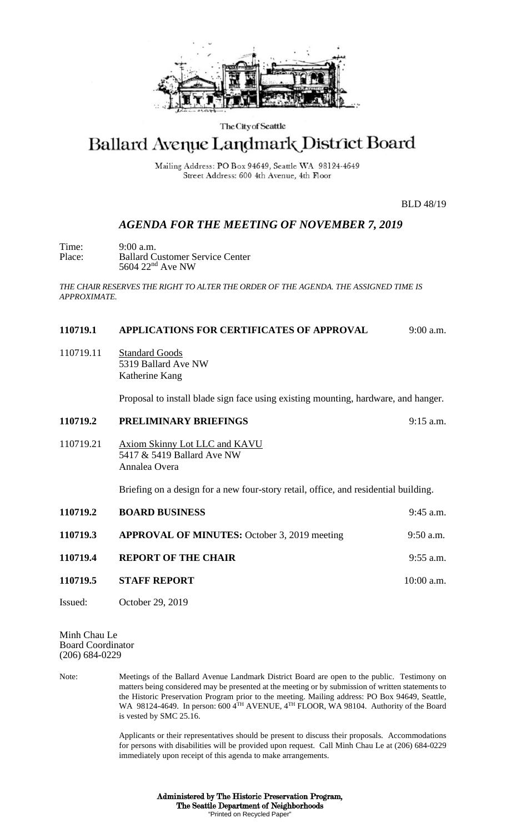

#### The City of Seattle

## Ballard Avenue Landmark District Board

Mailing Address: PO Box 94649, Seattle WA 98124-4649 Street Address: 600 4th Avenue, 4th Floor

BLD 48/19

### *AGENDA FOR THE MEETING OF NOVEMBER 7, 2019*

Time: 9:00 a.m.<br>Place: Ballard C Place: Ballard Customer Service Center 5604 22<sup>nd</sup> Ave NW

*THE CHAIR RESERVES THE RIGHT TO ALTER THE ORDER OF THE AGENDA. THE ASSIGNED TIME IS APPROXIMATE.*

### **110719.1 APPLICATIONS FOR CERTIFICATES OF APPROVAL** 9:00 a.m.

110719.11 Standard Goods 5319 Ballard Ave NW Katherine Kang

Proposal to install blade sign face using existing mounting, hardware, and hanger.

# **110719.2 PRELIMINARY BRIEFINGS** 9:15 a.m. 110719.21 Axiom Skinny Lot LLC and KAVU 5417 & 5419 Ballard Ave NW Annalea Overa Briefing on a design for a new four-story retail, office, and residential building. **110719.2 BOARD BUSINESS** 9:45 a.m.

- **110719.3 APPROVAL OF MINUTES:** October 3, 2019 meeting 9:50 a.m. **110719.4 REPORT OF THE CHAIR** 9:55 a.m. **110719.5 STAFF REPORT** 10:00 a.m.
- Issued: October 29, 2019

Minh Chau Le Board Coordinator (206) 684-0229

Note: Meetings of the Ballard Avenue Landmark District Board are open to the public. Testimony on matters being considered may be presented at the meeting or by submission of written statements to the Historic Preservation Program prior to the meeting. Mailing address: PO Box 94649, Seattle, WA 98124-4649. In person: 600 4TH AVENUE, 4TH FLOOR, WA 98104. Authority of the Board is vested by SMC 25.16.

> Applicants or their representatives should be present to discuss their proposals. Accommodations for persons with disabilities will be provided upon request. Call Minh Chau Le at (206) 684-0229 immediately upon receipt of this agenda to make arrangements.